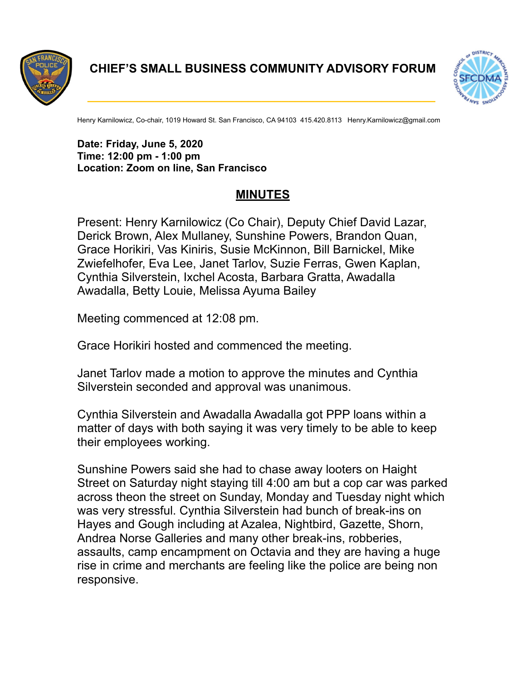

**CHIEF'S SMALL BUSINESS COMMUNITY ADVISORY FORUM**

**\_\_\_\_\_\_\_\_\_\_\_\_\_\_\_\_\_\_\_\_\_\_\_\_\_\_\_\_\_\_\_\_\_\_\_\_\_\_\_\_\_\_\_\_\_\_\_\_\_\_\_\_** 



Henry Karnilowicz, Co-chair, 1019 Howard St. San Francisco, CA 94103 415.420.8113 Henry.Karnilowicz@gmail.com

## **Date: Friday, June 5, 2020 Time: 12:00 pm - 1:00 pm Location: Zoom on line, San Francisco**

## **MINUTES**

Present: Henry Karnilowicz (Co Chair), Deputy Chief David Lazar, Derick Brown, Alex Mullaney, Sunshine Powers, Brandon Quan, Grace Horikiri, Vas Kiniris, Susie McKinnon, Bill Barnickel, Mike Zwiefelhofer, Eva Lee, Janet Tarlov, Suzie Ferras, Gwen Kaplan, Cynthia Silverstein, Ixchel Acosta, Barbara Gratta, Awadalla Awadalla, Betty Louie, Melissa Ayuma Bailey

Meeting commenced at 12:08 pm.

Grace Horikiri hosted and commenced the meeting.

Janet Tarlov made a motion to approve the minutes and Cynthia Silverstein seconded and approval was unanimous.

Cynthia Silverstein and Awadalla Awadalla got PPP loans within a matter of days with both saying it was very timely to be able to keep their employees working.

Sunshine Powers said she had to chase away looters on Haight Street on Saturday night staying till 4:00 am but a cop car was parked across theon the street on Sunday, Monday and Tuesday night which was very stressful. Cynthia Silverstein had bunch of break-ins on Hayes and Gough including at Azalea, Nightbird, Gazette, Shorn, Andrea Norse Galleries and many other break-ins, robberies, assaults, camp encampment on Octavia and they are having a huge rise in crime and merchants are feeling like the police are being non responsive.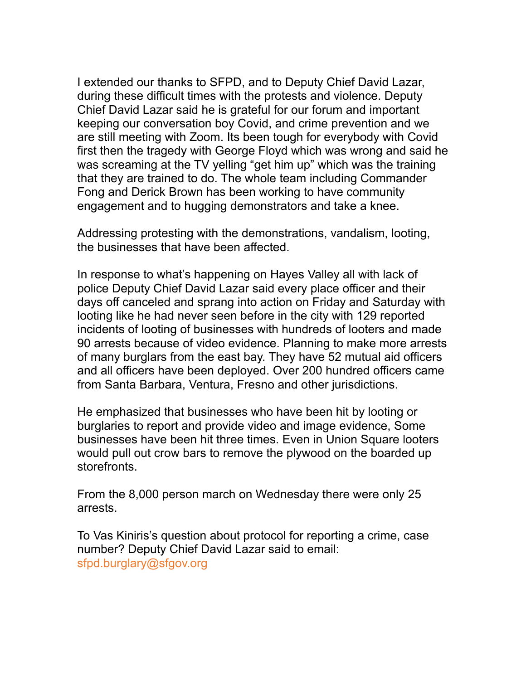I extended our thanks to SFPD, and to Deputy Chief David Lazar, during these difficult times with the protests and violence. Deputy Chief David Lazar said he is grateful for our forum and important keeping our conversation boy Covid, and crime prevention and we are still meeting with Zoom. Its been tough for everybody with Covid first then the tragedy with George Floyd which was wrong and said he was screaming at the TV yelling "get him up" which was the training that they are trained to do. The whole team including Commander Fong and Derick Brown has been working to have community engagement and to hugging demonstrators and take a knee.

Addressing protesting with the demonstrations, vandalism, looting, the businesses that have been affected.

In response to what's happening on Hayes Valley all with lack of police Deputy Chief David Lazar said every place officer and their days off canceled and sprang into action on Friday and Saturday with looting like he had never seen before in the city with 129 reported incidents of looting of businesses with hundreds of looters and made 90 arrests because of video evidence. Planning to make more arrests of many burglars from the east bay. They have 52 mutual aid officers and all officers have been deployed. Over 200 hundred officers came from Santa Barbara, Ventura, Fresno and other jurisdictions.

He emphasized that businesses who have been hit by looting or burglaries to report and provide video and image evidence, Some businesses have been hit three times. Even in Union Square looters would pull out crow bars to remove the plywood on the boarded up storefronts.

From the 8,000 person march on Wednesday there were only 25 arrests.

To Vas Kiniris's question about protocol for reporting a crime, case number? Deputy Chief David Lazar said to email: [sfpd.burglary@sfgov.org](mailto:sfpd.burglary@sfgov.org)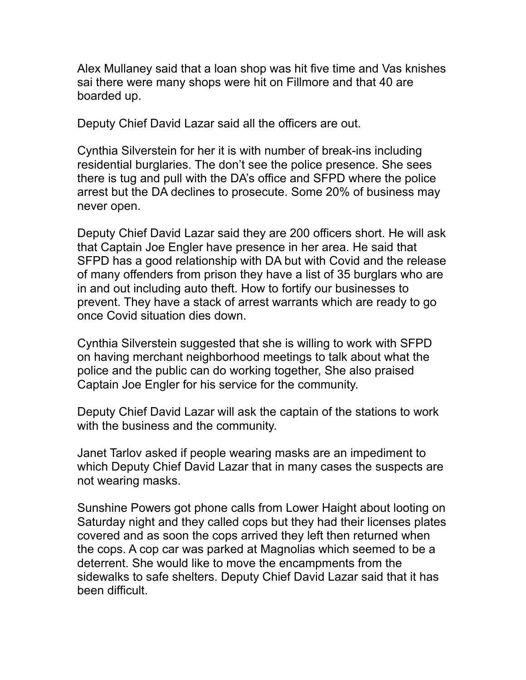Alex Mullaney said that a loan shop was hit five time and Vas knishes sai there were many shops were hit on Fillmore and that 40 are boarded up.

Deputy Chief David Lazar said all the officers are out.

Cynthia Silverstein for her it is with number of break-ins including residential burglaries. The don't see the police presence. She sees there is tug and pull with the DA's office and SFPD where the police arrest but the DA declines to prosecute. Some 20% of business may never open.

Deputy Chief David Lazar said they are 200 officers short. He will ask that Captain Joe Engler have presence in her area. He said that SFPD has a good relationship with DA but with Covid and the release of many offenders from prison they have a list of 35 burglars who are in and out including auto theft. How to fortify our businesses to prevent. They have a stack of arrest warrants which are ready to go once Covid situation dies down.

Cynthia Silverstein suggested that she is willing to work with SFPD on having merchant neighborhood meetings to talk about what the police and the public can do working together, She also praised Captain Joe Engler for his service for the community.

Deputy Chief David Lazar will ask the captain of the stations to work with the business and the community.

Janet Tarlov asked if people wearing masks are an impediment to which Deputy Chief David Lazar that in many cases the suspects are not wearing masks.

Sunshine Powers got phone calls from Lower Haight about looting on Saturday night and they called cops but they had their licenses plates covered and as soon the cops arrived they left then returned when the cops. A cop car was parked at Magnolias which seemed to be a deterrent. She would like to move the encampments from the sidewalks to safe shelters. Deputy Chief David Lazar said that it has been difficult.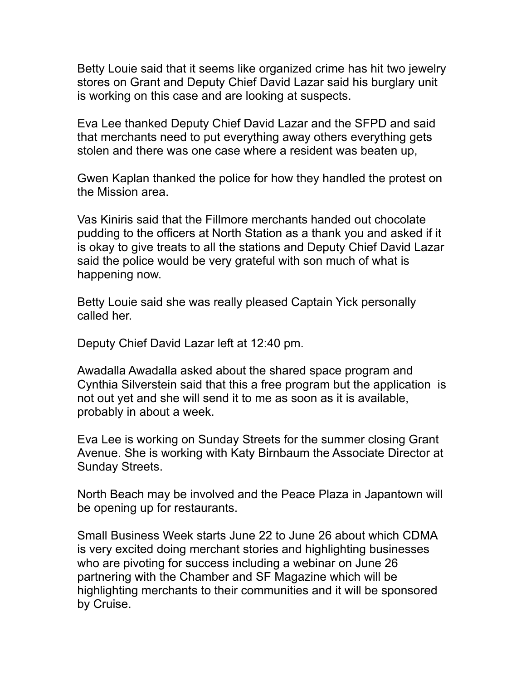Betty Louie said that it seems like organized crime has hit two jewelry stores on Grant and Deputy Chief David Lazar said his burglary unit is working on this case and are looking at suspects.

Eva Lee thanked Deputy Chief David Lazar and the SFPD and said that merchants need to put everything away others everything gets stolen and there was one case where a resident was beaten up,

Gwen Kaplan thanked the police for how they handled the protest on the Mission area.

Vas Kiniris said that the Fillmore merchants handed out chocolate pudding to the officers at North Station as a thank you and asked if it is okay to give treats to all the stations and Deputy Chief David Lazar said the police would be very grateful with son much of what is happening now.

Betty Louie said she was really pleased Captain Yick personally called her.

Deputy Chief David Lazar left at 12:40 pm.

Awadalla Awadalla asked about the shared space program and Cynthia Silverstein said that this a free program but the application is not out yet and she will send it to me as soon as it is available, probably in about a week.

Eva Lee is working on Sunday Streets for the summer closing Grant Avenue. She is working with Katy Birnbaum the Associate Director at Sunday Streets.

North Beach may be involved and the Peace Plaza in Japantown will be opening up for restaurants.

Small Business Week starts June 22 to June 26 about which CDMA is very excited doing merchant stories and highlighting businesses who are pivoting for success including a webinar on June 26 partnering with the Chamber and SF Magazine which will be highlighting merchants to their communities and it will be sponsored by Cruise.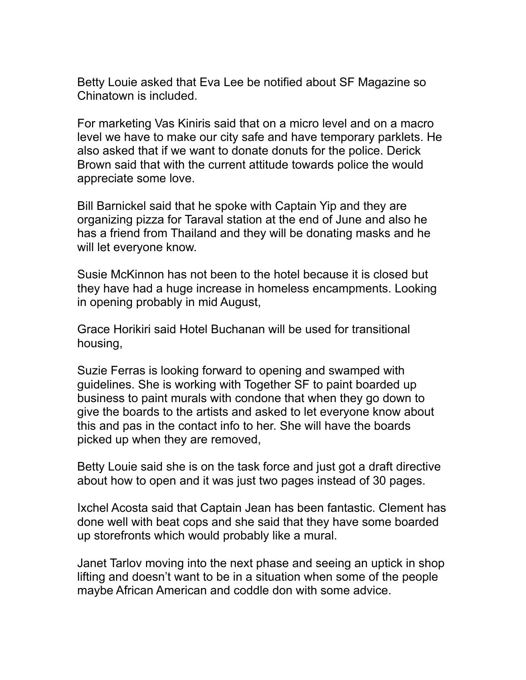Betty Louie asked that Eva Lee be notified about SF Magazine so Chinatown is included.

For marketing Vas Kiniris said that on a micro level and on a macro level we have to make our city safe and have temporary parklets. He also asked that if we want to donate donuts for the police. Derick Brown said that with the current attitude towards police the would appreciate some love.

Bill Barnickel said that he spoke with Captain Yip and they are organizing pizza for Taraval station at the end of June and also he has a friend from Thailand and they will be donating masks and he will let everyone know.

Susie McKinnon has not been to the hotel because it is closed but they have had a huge increase in homeless encampments. Looking in opening probably in mid August,

Grace Horikiri said Hotel Buchanan will be used for transitional housing,

Suzie Ferras is looking forward to opening and swamped with guidelines. She is working with Together SF to paint boarded up business to paint murals with condone that when they go down to give the boards to the artists and asked to let everyone know about this and pas in the contact info to her. She will have the boards picked up when they are removed,

Betty Louie said she is on the task force and just got a draft directive about how to open and it was just two pages instead of 30 pages.

Ixchel Acosta said that Captain Jean has been fantastic. Clement has done well with beat cops and she said that they have some boarded up storefronts which would probably like a mural.

Janet Tarlov moving into the next phase and seeing an uptick in shop lifting and doesn't want to be in a situation when some of the people maybe African American and coddle don with some advice.